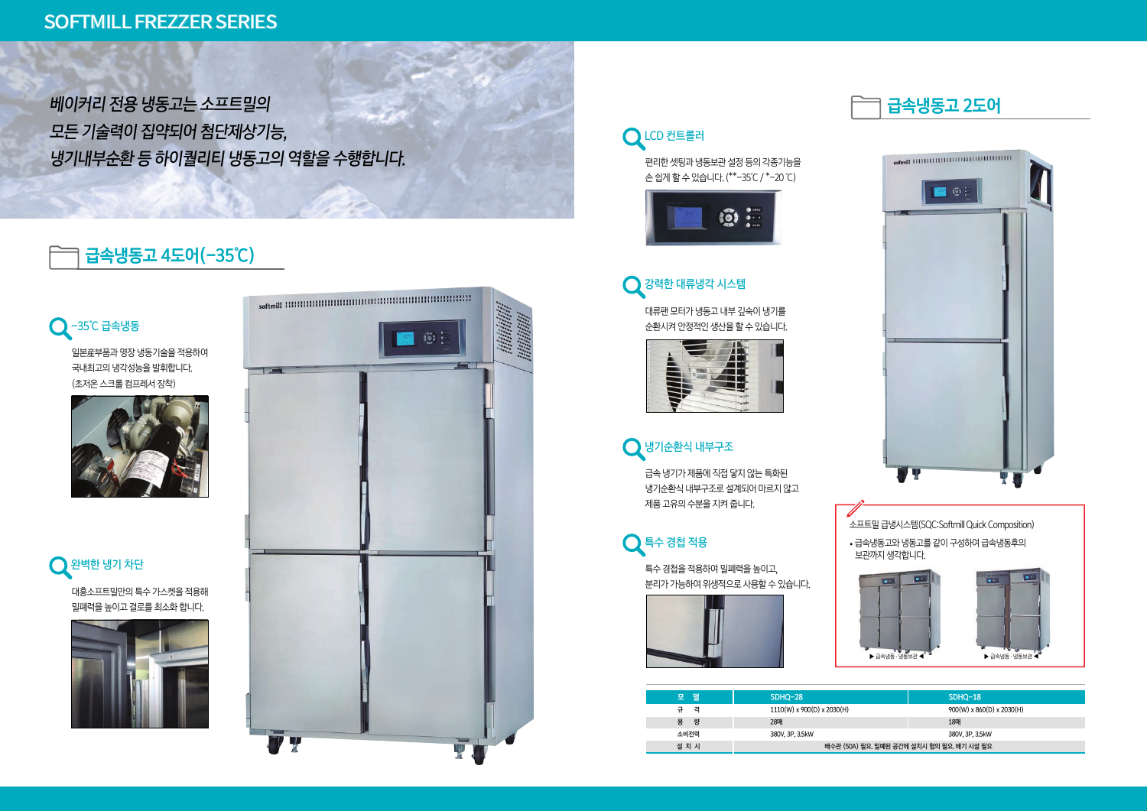



급속 냉기가 제품에 직접 닿지 않는 특화된 냉기순환식 내부구조로 설계되어 마르지 않고 제품 고유의 수분을 지켜 줍니다.











|                                | SDHQ-18                               |  |  |  |
|--------------------------------|---------------------------------------|--|--|--|
|                                | $900(W) \times 860(D) \times 2030(H)$ |  |  |  |
|                                | 18매                                   |  |  |  |
|                                | 380V, 3P, 3.5kW                       |  |  |  |
| 요. 밀폐된 공간에 설치시 협의 필요. 배기 시설 필요 |                                       |  |  |  |

편리한 셋팅과 냉동보관 설정 등의 각종기능을 손 쉽게 할 수 있습니다. (\*\*-35℃ / \*-20 ℃)



대류팬 모터가 냉동고 내부 깊숙이 냉기를 순환시켜 안정적인 생산을 할 수 있습니다.





특수 경첩을 적용하여 밀폐력을 높이고, 분리가 가능하여 위생적으로 사용할 수 있습니다.



소프트밀 급냉시스템(SQC:Softmill Quick Composition) ∙급속냉동고와 냉동고를 같이 구성하여 급속냉동후의 보관까지 생각합니다. m  $\blacktriangleright$  급속냉동 · 냉동보관 < 냉동보관 ◀ ▶ 급속냉동 . 냉동보관 ◀

## **급속냉동고 4도어(-35℃)**

일본産부품과 명장 냉동기술을 적용하여 국내최고의 냉각성능을 발휘합니다. (초저온 스크롤 컴프레서 장착)











베이커리 전용 냉동고는 소프트밀의 모든 기술력이 집약되어 첨단제상기능, 냉기내부순환 등 하이퀄리티 냉동고의 역할을 수행합니다.

## SOFTMILL FREZZER SERIES